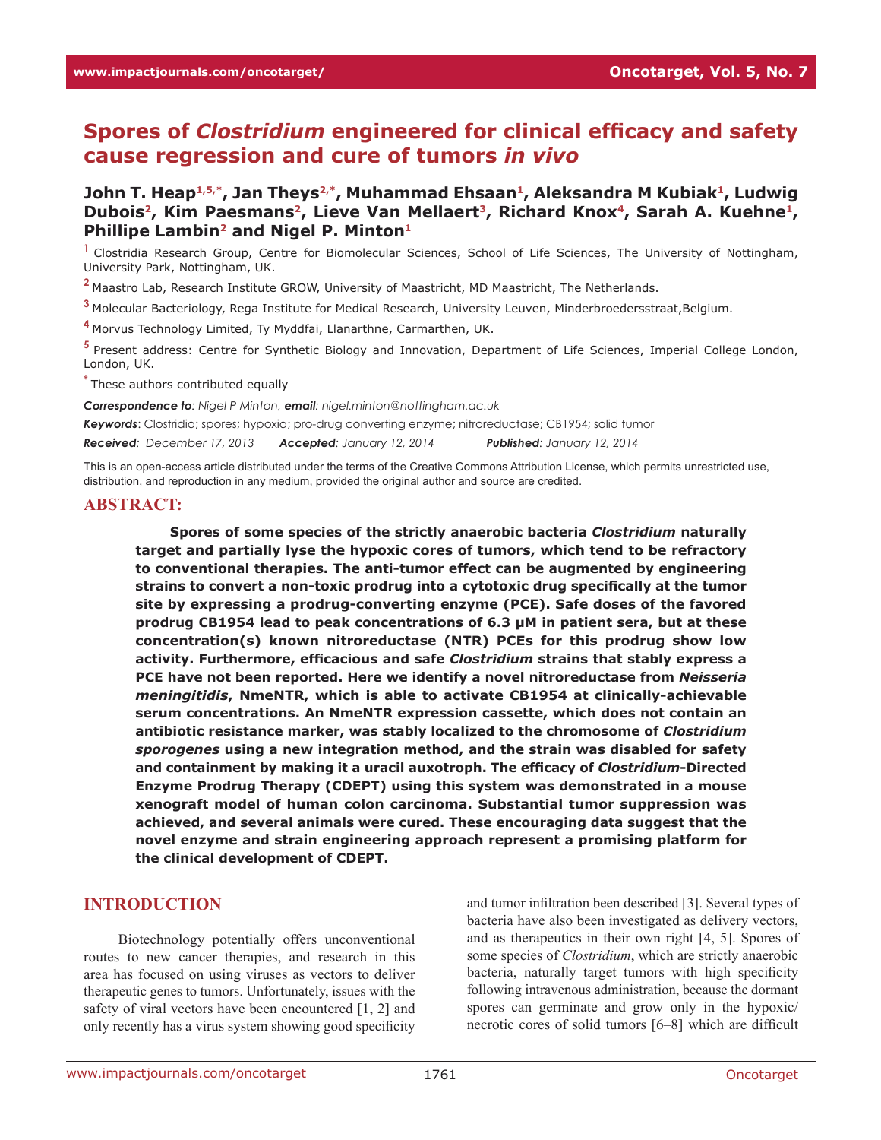# **Spores of** *Clostridium* **engineered for clinical efficacy and safety cause regression and cure of tumors** *in vivo*

## **John T. Heap1,5,\*, Jan Theys2,\*, Muhammad Ehsaan1, Aleksandra M Kubiak1, Ludwig**  Dubois<sup>2</sup>, Kim Paesmans<sup>2</sup>, Lieve Van Mellaert<sup>3</sup>, Richard Knox<sup>4</sup>, Sarah A. Kuehne<sup>1</sup>, **Phillipe Lambin2 and Nigel P. Minton1**

**<sup>1</sup>**Clostridia Research Group, Centre for Biomolecular Sciences, School of Life Sciences, The University of Nottingham, University Park, Nottingham, UK.

**<sup>2</sup>**Maastro Lab, Research Institute GROW, University of Maastricht, MD Maastricht, The Netherlands.

**<sup>3</sup>**Molecular Bacteriology, Rega Institute for Medical Research, University Leuven, Minderbroedersstraat,Belgium.

**<sup>4</sup>**Morvus Technology Limited, Ty Myddfai, Llanarthne, Carmarthen, UK.

**<sup>5</sup>**Present address: Centre for Synthetic Biology and Innovation, Department of Life Sciences, Imperial College London, London, UK.

**\*** These authors contributed equally

*Correspondence to: Nigel P Minton, email: nigel.minton@nottingham.ac.uk*

*Keywords*: Clostridia; spores; hypoxia; pro-drug converting enzyme; nitroreductase; CB1954; solid tumor

*Received: December 17, 2013 Accepted: January 12, 2014 Published: January 12, 2014*

This is an open-access article distributed under the terms of the Creative Commons Attribution License, which permits unrestricted use, distribution, and reproduction in any medium, provided the original author and source are credited.

#### **ABSTRACT:**

**Spores of some species of the strictly anaerobic bacteria** *Clostridium* **naturally target and partially lyse the hypoxic cores of tumors, which tend to be refractory to conventional therapies. The anti-tumor effect can be augmented by engineering strains to convert a non-toxic prodrug into a cytotoxic drug specifically at the tumor site by expressing a prodrug-converting enzyme (PCE). Safe doses of the favored prodrug CB1954 lead to peak concentrations of 6.3 µM in patient sera, but at these concentration(s) known nitroreductase (NTR) PCEs for this prodrug show low activity. Furthermore, efficacious and safe** *Clostridium* **strains that stably express a PCE have not been reported. Here we identify a novel nitroreductase from** *Neisseria meningitidis***, NmeNTR, which is able to activate CB1954 at clinically-achievable serum concentrations. An NmeNTR expression cassette, which does not contain an antibiotic resistance marker, was stably localized to the chromosome of** *Clostridium sporogenes* **using a new integration method, and the strain was disabled for safety and containment by making it a uracil auxotroph. The efficacy of** *Clostridium***-Directed Enzyme Prodrug Therapy (CDEPT) using this system was demonstrated in a mouse xenograft model of human colon carcinoma. Substantial tumor suppression was achieved, and several animals were cured. These encouraging data suggest that the novel enzyme and strain engineering approach represent a promising platform for the clinical development of CDEPT.**

## **INTRODUCTION**

Biotechnology potentially offers unconventional routes to new cancer therapies, and research in this area has focused on using viruses as vectors to deliver therapeutic genes to tumors. Unfortunately, issues with the safety of viral vectors have been encountered [1, 2] and only recently has a virus system showing good specificity and tumor infiltration been described [3]. Several types of bacteria have also been investigated as delivery vectors, and as therapeutics in their own right [4, 5]. Spores of some species of *Clostridium*, which are strictly anaerobic bacteria, naturally target tumors with high specificity following intravenous administration, because the dormant spores can germinate and grow only in the hypoxic/ necrotic cores of solid tumors [6–8] which are difficult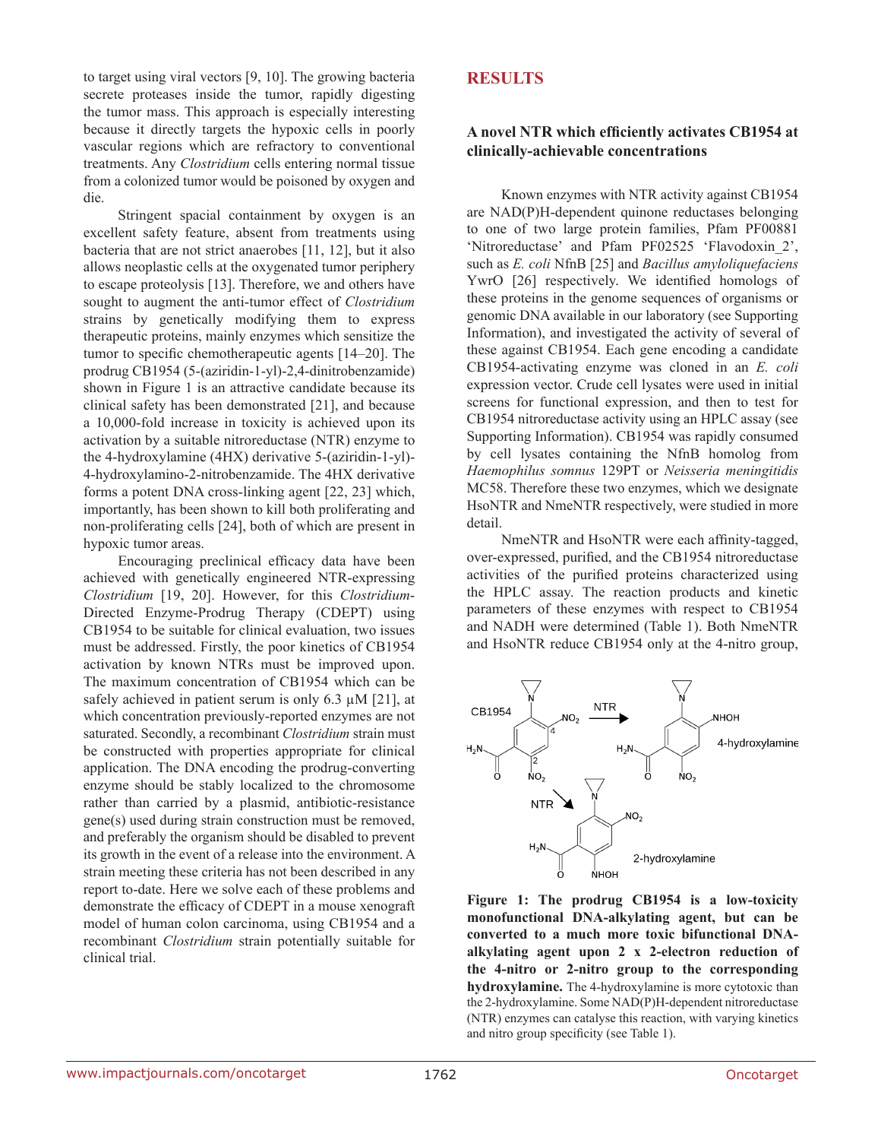to target using viral vectors [9, 10]. The growing bacteria secrete proteases inside the tumor, rapidly digesting the tumor mass. This approach is especially interesting because it directly targets the hypoxic cells in poorly vascular regions which are refractory to conventional treatments. Any *Clostridium* cells entering normal tissue from a colonized tumor would be poisoned by oxygen and die.

Stringent spacial containment by oxygen is an excellent safety feature, absent from treatments using bacteria that are not strict anaerobes [11, 12], but it also allows neoplastic cells at the oxygenated tumor periphery to escape proteolysis [13]. Therefore, we and others have sought to augment the anti-tumor effect of *Clostridium* strains by genetically modifying them to express therapeutic proteins, mainly enzymes which sensitize the tumor to specific chemotherapeutic agents [14–20]. The prodrug CB1954 (5-(aziridin-1-yl)-2,4-dinitrobenzamide) shown in Figure 1 is an attractive candidate because its clinical safety has been demonstrated [21], and because a 10,000-fold increase in toxicity is achieved upon its activation by a suitable nitroreductase (NTR) enzyme to the 4-hydroxylamine (4HX) derivative 5-(aziridin-1-yl)- 4-hydroxylamino-2-nitrobenzamide. The 4HX derivative forms a potent DNA cross-linking agent [22, 23] which, importantly, has been shown to kill both proliferating and non-proliferating cells [24], both of which are present in hypoxic tumor areas.

Encouraging preclinical efficacy data have been achieved with genetically engineered NTR-expressing *Clostridium* [19, 20]. However, for this *Clostridium*-Directed Enzyme-Prodrug Therapy (CDEPT) using CB1954 to be suitable for clinical evaluation, two issues must be addressed. Firstly, the poor kinetics of CB1954 activation by known NTRs must be improved upon. The maximum concentration of CB1954 which can be safely achieved in patient serum is only 6.3  $\mu$ M [21], at which concentration previously-reported enzymes are not saturated. Secondly, a recombinant *Clostridium* strain must be constructed with properties appropriate for clinical application. The DNA encoding the prodrug-converting enzyme should be stably localized to the chromosome rather than carried by a plasmid, antibiotic-resistance gene(s) used during strain construction must be removed, and preferably the organism should be disabled to prevent its growth in the event of a release into the environment. A strain meeting these criteria has not been described in any report to-date. Here we solve each of these problems and demonstrate the efficacy of CDEPT in a mouse xenograft model of human colon carcinoma, using CB1954 and a recombinant *Clostridium* strain potentially suitable for clinical trial.

## **RESULTS**

#### **A novel NTR which efficiently activates CB1954 at clinically-achievable concentrations**

Known enzymes with NTR activity against CB1954 are NAD(P)H-dependent quinone reductases belonging to one of two large protein families, Pfam PF00881 'Nitroreductase' and Pfam PF02525 'Flavodoxin\_2', such as *E. coli* NfnB [25] and *Bacillus amyloliquefaciens* YwrO [26] respectively. We identified homologs of these proteins in the genome sequences of organisms or genomic DNA available in our laboratory (see Supporting Information), and investigated the activity of several of these against CB1954. Each gene encoding a candidate CB1954-activating enzyme was cloned in an *E. coli* expression vector. Crude cell lysates were used in initial screens for functional expression, and then to test for CB1954 nitroreductase activity using an HPLC assay (see Supporting Information). CB1954 was rapidly consumed by cell lysates containing the NfnB homolog from *Haemophilus somnus* 129PT or *Neisseria meningitidis* MC58. Therefore these two enzymes, which we designate HsoNTR and NmeNTR respectively, were studied in more detail.

NmeNTR and HsoNTR were each affinity-tagged, over-expressed, purified, and the CB1954 nitroreductase activities of the purified proteins characterized using the HPLC assay. The reaction products and kinetic parameters of these enzymes with respect to CB1954 and NADH were determined (Table 1). Both NmeNTR and HsoNTR reduce CB1954 only at the 4-nitro group,



**Figure 1: The prodrug CB1954 is a low-toxicity monofunctional DNA-alkylating agent, but can be converted to a much more toxic bifunctional DNAalkylating agent upon 2 x 2-electron reduction of the 4-nitro or 2-nitro group to the corresponding hydroxylamine.** The 4-hydroxylamine is more cytotoxic than the 2-hydroxylamine. Some NAD(P)H-dependent nitroreductase (NTR) enzymes can catalyse this reaction, with varying kinetics and nitro group specificity (see Table 1).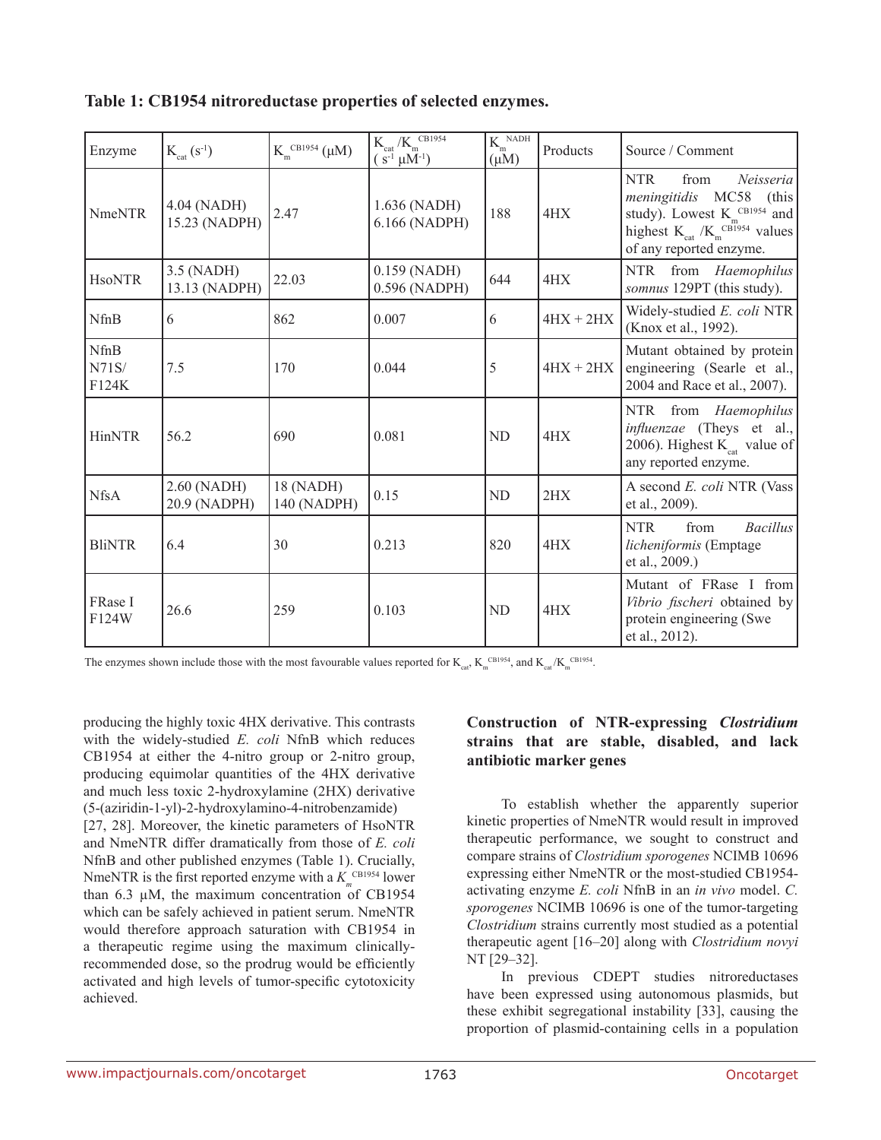| Enzyme                 | $K_{\text{cat}}(S^{-1})$     | $K_{m}^{CB1954}$ (µM)    | $\rm K_{cat}$ /K $_{\rm m}^{\rm CB1954}$<br>$(s^{-1} \mu M^{-1})$ | $K_{\scriptscriptstyle m}^{\ \scriptscriptstyle \, \rm{NADH}}$<br>$(\mu M)$ | Products    | Source / Comment                                                                                                                                                          |
|------------------------|------------------------------|--------------------------|-------------------------------------------------------------------|-----------------------------------------------------------------------------|-------------|---------------------------------------------------------------------------------------------------------------------------------------------------------------------------|
| <b>NmeNTR</b>          | 4.04 (NADH)<br>15.23 (NADPH) | 2.47                     | 1.636 (NADH)<br>6.166 (NADPH)                                     | 188                                                                         | 4HX         | <b>NTR</b><br>from<br>Neisseria<br>meningitidis MC58 (this<br>study). Lowest $K_{m}^{CB1954}$ and<br>highest $K_{cat} / K_{m}^{CB1954}$ values<br>of any reported enzyme. |
| <b>HsoNTR</b>          | 3.5 (NADH)<br>13.13 (NADPH)  | 22.03                    | $0.159$ (NADH)<br>0.596 (NADPH)                                   | 644                                                                         | 4HX         | NTR from Haemophilus<br>somnus 129PT (this study).                                                                                                                        |
| <b>NfnB</b>            | 6                            | 862                      | 0.007                                                             | 6                                                                           | $4HX + 2HX$ | Widely-studied E. coli NTR<br>(Knox et al., 1992).                                                                                                                        |
| NfnB<br>N71S/<br>F124K | 7.5                          | 170                      | 0.044                                                             | 5                                                                           | $4HX + 2HX$ | Mutant obtained by protein<br>engineering (Searle et al.,<br>2004 and Race et al., 2007).                                                                                 |
| <b>HinNTR</b>          | 56.2                         | 690                      | 0.081                                                             | <b>ND</b>                                                                   | 4HX         | NTR from Haemophilus<br><i>influenzae</i> (Theys et al.,<br>2006). Highest $K_{\text{cat}}$ value of<br>any reported enzyme.                                              |
| <b>NfsA</b>            | 2.60 (NADH)<br>20.9 (NADPH)  | 18 (NADH)<br>140 (NADPH) | 0.15                                                              | N <sub>D</sub>                                                              | 2HX         | A second E. coli NTR (Vass<br>et al., 2009).                                                                                                                              |
| <b>BliNTR</b>          | 6.4                          | 30                       | 0.213                                                             | 820                                                                         | 4HX         | <b>NTR</b><br>from<br>Bacillus<br>licheniformis (Emptage<br>et al., 2009.)                                                                                                |
| FRase I<br>F124W       | 26.6                         | 259                      | 0.103                                                             | <b>ND</b>                                                                   | 4HX         | Mutant of FRase I from<br>Vibrio fischeri obtained by<br>protein engineering (Swe<br>et al., 2012).                                                                       |

The enzymes shown include those with the most favourable values reported for  $K_{\text{car}}$ ,  $K_{\text{cm}}^{\text{CB1954}}$ , and  $K_{\text{car}}$ ,  $K_{\text{cm}}^{\text{CB1954}}$ .

producing the highly toxic 4HX derivative. This contrasts with the widely-studied *E. coli* NfnB which reduces CB1954 at either the 4-nitro group or 2-nitro group, producing equimolar quantities of the 4HX derivative and much less toxic 2-hydroxylamine (2HX) derivative (5-(aziridin-1-yl)-2-hydroxylamino-4-nitrobenzamide)

[27, 28]. Moreover, the kinetic parameters of HsoNTR and NmeNTR differ dramatically from those of *E. coli* NfnB and other published enzymes (Table 1). Crucially, NmeNTR is the first reported enzyme with a  $K_{m}^{\text{CB1954}}$  lower than  $6.3 \mu M$ , the maximum concentration of CB1954 which can be safely achieved in patient serum. NmeNTR would therefore approach saturation with CB1954 in a therapeutic regime using the maximum clinicallyrecommended dose, so the prodrug would be efficiently activated and high levels of tumor-specific cytotoxicity achieved.

## **Construction of NTR-expressing** *Clostridium*  **strains that are stable, disabled, and lack antibiotic marker genes**

To establish whether the apparently superior kinetic properties of NmeNTR would result in improved therapeutic performance, we sought to construct and compare strains of *Clostridium sporogenes* NCIMB 10696 expressing either NmeNTR or the most-studied CB1954 activating enzyme *E. coli* NfnB in an *in vivo* model. *C. sporogenes* NCIMB 10696 is one of the tumor-targeting *Clostridium* strains currently most studied as a potential therapeutic agent [16–20] along with *Clostridium novyi* NT [29–32].

In previous CDEPT studies nitroreductases have been expressed using autonomous plasmids, but these exhibit segregational instability [33], causing the proportion of plasmid-containing cells in a population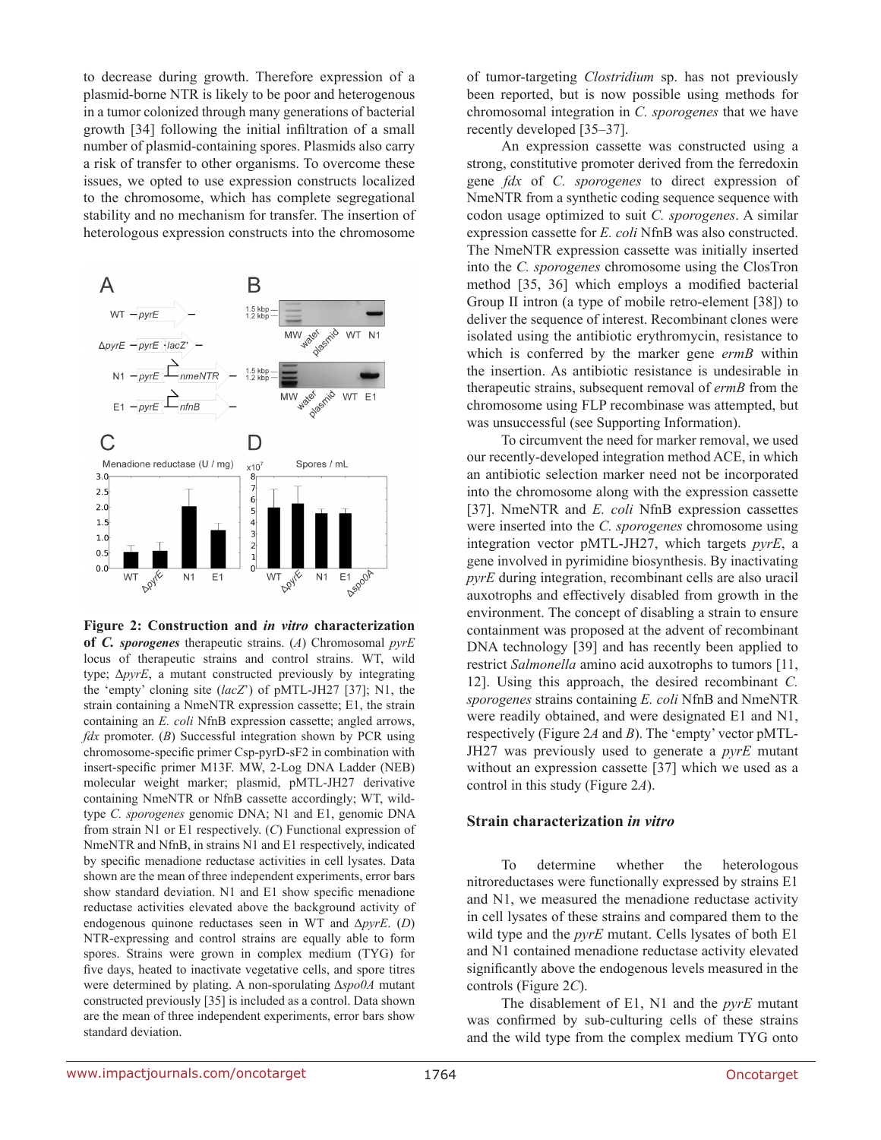to decrease during growth. Therefore expression of a plasmid-borne NTR is likely to be poor and heterogenous in a tumor colonized through many generations of bacterial growth [34] following the initial infiltration of a small number of plasmid-containing spores. Plasmids also carry a risk of transfer to other organisms. To overcome these issues, we opted to use expression constructs localized to the chromosome, which has complete segregational stability and no mechanism for transfer. The insertion of heterologous expression constructs into the chromosome



**Figure 2: Construction and** *in vitro* **characterization** 

**of** *C. sporogenes* therapeutic strains. (*A*) Chromosomal *pyrE* locus of therapeutic strains and control strains. WT, wild type; Δ*pyrE*, a mutant constructed previously by integrating the 'empty' cloning site (*lacZ*') of pMTL-JH27 [37]; N1, the strain containing a NmeNTR expression cassette; E1, the strain containing an *E. coli* NfnB expression cassette; angled arrows, *fdx* promoter. (*B*) Successful integration shown by PCR using chromosome-specific primer Csp-pyrD-sF2 in combination with insert-specific primer M13F. MW, 2-Log DNA Ladder (NEB) molecular weight marker; plasmid, pMTL-JH27 derivative containing NmeNTR or NfnB cassette accordingly; WT, wildtype *C. sporogenes* genomic DNA; N1 and E1, genomic DNA from strain N1 or E1 respectively. (*C*) Functional expression of NmeNTR and NfnB, in strains N1 and E1 respectively, indicated by specific menadione reductase activities in cell lysates. Data shown are the mean of three independent experiments, error bars show standard deviation. N1 and E1 show specific menadione reductase activities elevated above the background activity of endogenous quinone reductases seen in WT and Δ*pyrE*. (*D*) NTR-expressing and control strains are equally able to form spores. Strains were grown in complex medium (TYG) for five days, heated to inactivate vegetative cells, and spore titres were determined by plating. A non-sporulating Δ*spo0A* mutant constructed previously [35] is included as a control. Data shown are the mean of three independent experiments, error bars show standard deviation.

of tumor-targeting *Clostridium* sp. has not previously been reported, but is now possible using methods for chromosomal integration in *C. sporogenes* that we have recently developed [35–37].

An expression cassette was constructed using a strong, constitutive promoter derived from the ferredoxin gene *fdx* of *C. sporogenes* to direct expression of NmeNTR from a synthetic coding sequence sequence with codon usage optimized to suit *C. sporogenes*. A similar expression cassette for *E. coli* NfnB was also constructed. The NmeNTR expression cassette was initially inserted into the *C. sporogenes* chromosome using the ClosTron method [35, 36] which employs a modified bacterial Group II intron (a type of mobile retro-element [38]) to deliver the sequence of interest. Recombinant clones were isolated using the antibiotic erythromycin, resistance to which is conferred by the marker gene *ermB* within the insertion. As antibiotic resistance is undesirable in therapeutic strains, subsequent removal of *ermB* from the chromosome using FLP recombinase was attempted, but was unsuccessful (see Supporting Information).

To circumvent the need for marker removal, we used our recently-developed integration method ACE, in which an antibiotic selection marker need not be incorporated into the chromosome along with the expression cassette [37]. NmeNTR and *E. coli* NfnB expression cassettes were inserted into the *C. sporogenes* chromosome using integration vector pMTL-JH27, which targets *pyrE*, a gene involved in pyrimidine biosynthesis. By inactivating *pyrE* during integration, recombinant cells are also uracil auxotrophs and effectively disabled from growth in the environment. The concept of disabling a strain to ensure containment was proposed at the advent of recombinant DNA technology [39] and has recently been applied to restrict *Salmonella* amino acid auxotrophs to tumors [11, 12]. Using this approach, the desired recombinant *C. sporogenes* strains containing *E. coli* NfnB and NmeNTR were readily obtained, and were designated E1 and N1, respectively (Figure 2*A* and *B*). The 'empty' vector pMTL-JH27 was previously used to generate a *pyrE* mutant without an expression cassette [37] which we used as a control in this study (Figure 2*A*).

#### **Strain characterization** *in vitro*

To determine whether the heterologous nitroreductases were functionally expressed by strains E1 and N1, we measured the menadione reductase activity in cell lysates of these strains and compared them to the wild type and the *pyrE* mutant. Cells lysates of both E1 and N1 contained menadione reductase activity elevated significantly above the endogenous levels measured in the controls (Figure 2*C*).

The disablement of E1, N1 and the *pyrE* mutant was confirmed by sub-culturing cells of these strains and the wild type from the complex medium TYG onto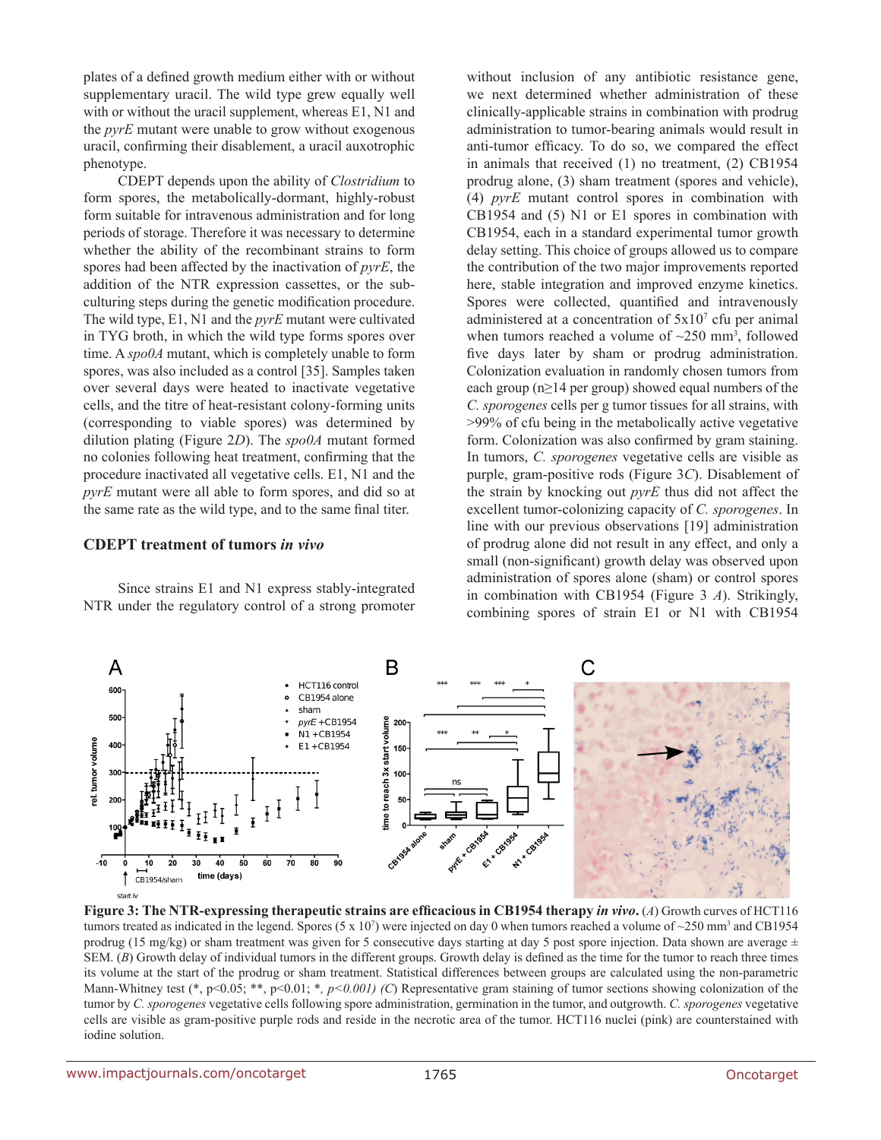plates of a defined growth medium either with or without supplementary uracil. The wild type grew equally well with or without the uracil supplement, whereas E1, N1 and the *pyrE* mutant were unable to grow without exogenous uracil, confirming their disablement, a uracil auxotrophic phenotype.

CDEPT depends upon the ability of *Clostridium* to form spores, the metabolically-dormant, highly-robust form suitable for intravenous administration and for long periods of storage. Therefore it was necessary to determine whether the ability of the recombinant strains to form spores had been affected by the inactivation of *pyrE*, the addition of the NTR expression cassettes, or the subculturing steps during the genetic modification procedure. The wild type, E1, N1 and the *pyrE* mutant were cultivated in TYG broth, in which the wild type forms spores over time. A *spo0A* mutant, which is completely unable to form spores, was also included as a control [35]. Samples taken over several days were heated to inactivate vegetative cells, and the titre of heat-resistant colony-forming units (corresponding to viable spores) was determined by dilution plating (Figure 2*D*). The *spo0A* mutant formed no colonies following heat treatment, confirming that the procedure inactivated all vegetative cells. E1, N1 and the *pyrE* mutant were all able to form spores, and did so at the same rate as the wild type, and to the same final titer.

#### **CDEPT treatment of tumors** *in vivo*

Since strains E1 and N1 express stably-integrated NTR under the regulatory control of a strong promoter without inclusion of any antibiotic resistance gene, we next determined whether administration of these clinically-applicable strains in combination with prodrug administration to tumor-bearing animals would result in anti-tumor efficacy. To do so, we compared the effect in animals that received (1) no treatment, (2) CB1954 prodrug alone, (3) sham treatment (spores and vehicle), (4) *pyrE* mutant control spores in combination with CB1954 and (5) N1 or E1 spores in combination with CB1954, each in a standard experimental tumor growth delay setting. This choice of groups allowed us to compare the contribution of the two major improvements reported here, stable integration and improved enzyme kinetics. Spores were collected, quantified and intravenously administered at a concentration of  $5x10<sup>7</sup>$  cfu per animal when tumors reached a volume of  $\sim$ 250 mm<sup>3</sup>, followed five days later by sham or prodrug administration. Colonization evaluation in randomly chosen tumors from each group (n≥14 per group) showed equal numbers of the *C. sporogenes* cells per g tumor tissues for all strains, with >99% of cfu being in the metabolically active vegetative form. Colonization was also confirmed by gram staining. In tumors, *C. sporogenes* vegetative cells are visible as purple, gram-positive rods (Figure 3*C*). Disablement of the strain by knocking out *pyrE* thus did not affect the excellent tumor-colonizing capacity of *C. sporogenes*. In line with our previous observations [19] administration of prodrug alone did not result in any effect, and only a small (non-significant) growth delay was observed upon administration of spores alone (sham) or control spores in combination with CB1954 (Figure 3 *A*). Strikingly, combining spores of strain E1 or N1 with CB1954



**Figure 3: The NTR-expressing therapeutic strains are efficacious in CB1954 therapy** *in vivo***.** (*A*) Growth curves of HCT116 tumors treated as indicated in the legend. Spores (5 x 10<sup>7</sup>) were injected on day 0 when tumors reached a volume of ~250 mm<sup>3</sup> and CB1954 prodrug (15 mg/kg) or sham treatment was given for 5 consecutive days starting at day 5 post spore injection. Data shown are average  $\pm$ SEM. (*B*) Growth delay of individual tumors in the different groups. Growth delay is defined as the time for the tumor to reach three times its volume at the start of the prodrug or sham treatment. Statistical differences between groups are calculated using the non-parametric Mann-Whitney test (\*, p<0.05; \*\*, p<0.01; \*, p<0.001) (C) Representative gram staining of tumor sections showing colonization of the tumor by *C. sporogenes* vegetative cells following spore administration, germination in the tumor, and outgrowth. *C. sporogenes* vegetative cells are visible as gram-positive purple rods and reside in the necrotic area of the tumor. HCT116 nuclei (pink) are counterstained with iodine solution.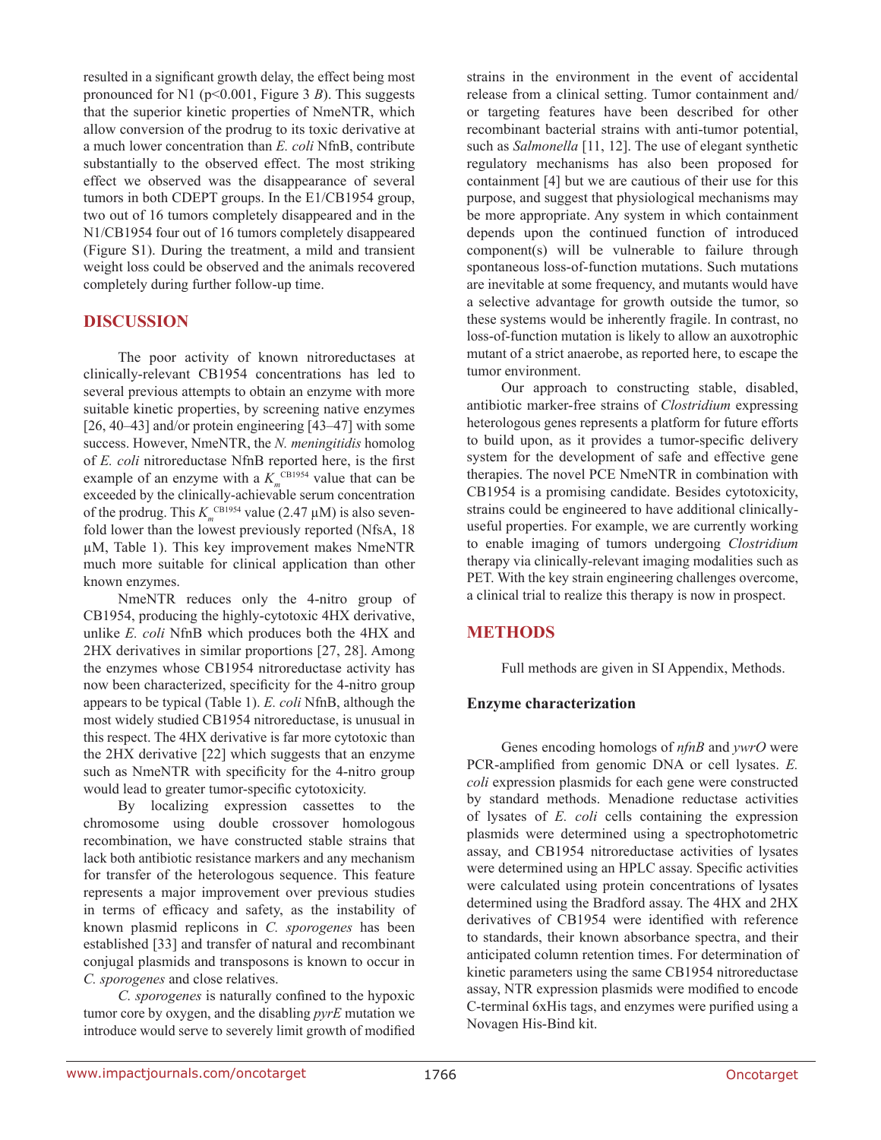resulted in a significant growth delay, the effect being most pronounced for N1 (p<0.001, Figure 3 *B*). This suggests that the superior kinetic properties of NmeNTR, which allow conversion of the prodrug to its toxic derivative at a much lower concentration than *E. coli* NfnB, contribute substantially to the observed effect. The most striking effect we observed was the disappearance of several tumors in both CDEPT groups. In the E1/CB1954 group, two out of 16 tumors completely disappeared and in the N1/CB1954 four out of 16 tumors completely disappeared (Figure S1). During the treatment, a mild and transient weight loss could be observed and the animals recovered completely during further follow-up time.

## **DISCUSSION**

The poor activity of known nitroreductases at clinically-relevant CB1954 concentrations has led to several previous attempts to obtain an enzyme with more suitable kinetic properties, by screening native enzymes [26, 40–43] and/or protein engineering [43–47] with some success. However, NmeNTR, the *N. meningitidis* homolog of *E. coli* nitroreductase NfnB reported here, is the first example of an enzyme with a  $K<sub>m</sub><sup>CB1954</sup>$  value that can be exceeded by the clinically-achievable serum concentration of the prodrug. This  $K_m^{\text{CB1954}}$  value (2.47  $\mu$ M) is also sevenfold lower than the lowest previously reported (NfsA, 18 µM, Table 1). This key improvement makes NmeNTR much more suitable for clinical application than other known enzymes.

NmeNTR reduces only the 4-nitro group of CB1954, producing the highly-cytotoxic 4HX derivative, unlike *E. coli* NfnB which produces both the 4HX and 2HX derivatives in similar proportions [27, 28]. Among the enzymes whose CB1954 nitroreductase activity has now been characterized, specificity for the 4-nitro group appears to be typical (Table 1). *E. coli* NfnB, although the most widely studied CB1954 nitroreductase, is unusual in this respect. The 4HX derivative is far more cytotoxic than the 2HX derivative [22] which suggests that an enzyme such as NmeNTR with specificity for the 4-nitro group would lead to greater tumor-specific cytotoxicity.

By localizing expression cassettes to the chromosome using double crossover homologous recombination, we have constructed stable strains that lack both antibiotic resistance markers and any mechanism for transfer of the heterologous sequence. This feature represents a major improvement over previous studies in terms of efficacy and safety, as the instability of known plasmid replicons in *C. sporogenes* has been established [33] and transfer of natural and recombinant conjugal plasmids and transposons is known to occur in *C. sporogenes* and close relatives.

*C. sporogenes* is naturally confined to the hypoxic tumor core by oxygen, and the disabling *pyrE* mutation we introduce would serve to severely limit growth of modified strains in the environment in the event of accidental release from a clinical setting. Tumor containment and/ or targeting features have been described for other recombinant bacterial strains with anti-tumor potential, such as *Salmonella* [11, 12]. The use of elegant synthetic regulatory mechanisms has also been proposed for containment [4] but we are cautious of their use for this purpose, and suggest that physiological mechanisms may be more appropriate. Any system in which containment depends upon the continued function of introduced component(s) will be vulnerable to failure through spontaneous loss-of-function mutations. Such mutations are inevitable at some frequency, and mutants would have a selective advantage for growth outside the tumor, so these systems would be inherently fragile. In contrast, no loss-of-function mutation is likely to allow an auxotrophic mutant of a strict anaerobe, as reported here, to escape the tumor environment.

Our approach to constructing stable, disabled, antibiotic marker-free strains of *Clostridium* expressing heterologous genes represents a platform for future efforts to build upon, as it provides a tumor-specific delivery system for the development of safe and effective gene therapies. The novel PCE NmeNTR in combination with CB1954 is a promising candidate. Besides cytotoxicity, strains could be engineered to have additional clinicallyuseful properties. For example, we are currently working to enable imaging of tumors undergoing *Clostridium* therapy via clinically-relevant imaging modalities such as PET. With the key strain engineering challenges overcome, a clinical trial to realize this therapy is now in prospect.

## **METHODS**

Full methods are given in SI Appendix, Methods.

## **Enzyme characterization**

Genes encoding homologs of *nfnB* and *ywrO* were PCR-amplified from genomic DNA or cell lysates. *E. coli* expression plasmids for each gene were constructed by standard methods. Menadione reductase activities of lysates of *E. coli* cells containing the expression plasmids were determined using a spectrophotometric assay, and CB1954 nitroreductase activities of lysates were determined using an HPLC assay. Specific activities were calculated using protein concentrations of lysates determined using the Bradford assay. The 4HX and 2HX derivatives of CB1954 were identified with reference to standards, their known absorbance spectra, and their anticipated column retention times. For determination of kinetic parameters using the same CB1954 nitroreductase assay, NTR expression plasmids were modified to encode C-terminal 6xHis tags, and enzymes were purified using a Novagen His-Bind kit.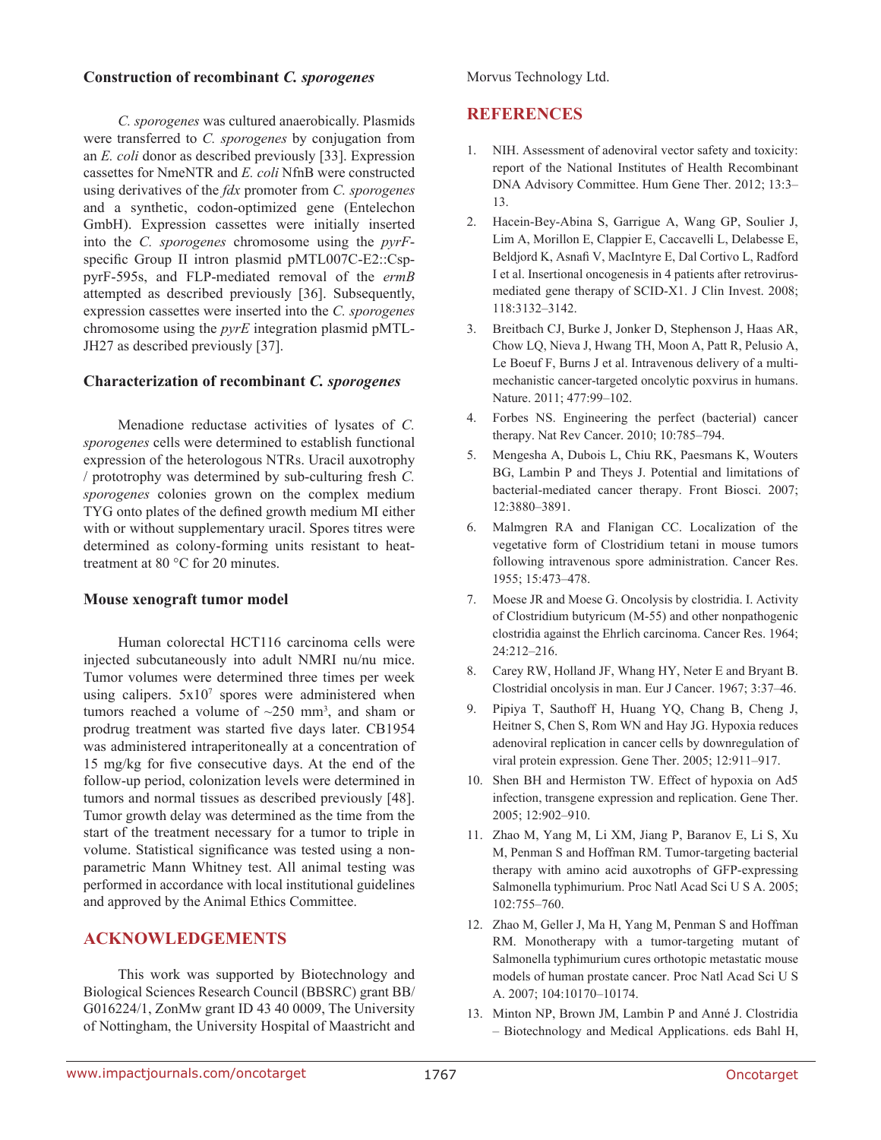#### **Construction of recombinant** *C. sporogenes*

Morvus Technology Ltd.

#### *C. sporogenes* was cultured anaerobically. Plasmids were transferred to *C. sporogenes* by conjugation from an *E. coli* donor as described previously [33]. Expression cassettes for NmeNTR and *E. coli* NfnB were constructed using derivatives of the *fdx* promoter from *C. sporogenes* and a synthetic, codon-optimized gene (Entelechon GmbH). Expression cassettes were initially inserted into the *C. sporogenes* chromosome using the *pyrF*specific Group II intron plasmid pMTL007C-E2::CsppyrF-595s, and FLP-mediated removal of the *ermB* attempted as described previously [36]. Subsequently, expression cassettes were inserted into the *C. sporogenes* chromosome using the *pyrE* integration plasmid pMTL-JH27 as described previously [37].

#### **Characterization of recombinant** *C. sporogenes*

Menadione reductase activities of lysates of *C. sporogenes* cells were determined to establish functional expression of the heterologous NTRs. Uracil auxotrophy / prototrophy was determined by sub-culturing fresh *C. sporogenes* colonies grown on the complex medium TYG onto plates of the defined growth medium MI either with or without supplementary uracil. Spores titres were determined as colony-forming units resistant to heattreatment at 80 °C for 20 minutes.

#### **Mouse xenograft tumor model**

Human colorectal HCT116 carcinoma cells were injected subcutaneously into adult NMRI nu/nu mice. Tumor volumes were determined three times per week using calipers.  $5x10^7$  spores were administered when tumors reached a volume of  $\sim$ 250 mm<sup>3</sup>, and sham or prodrug treatment was started five days later. CB1954 was administered intraperitoneally at a concentration of 15 mg/kg for five consecutive days. At the end of the follow-up period, colonization levels were determined in tumors and normal tissues as described previously [48]. Tumor growth delay was determined as the time from the start of the treatment necessary for a tumor to triple in volume. Statistical significance was tested using a nonparametric Mann Whitney test. All animal testing was performed in accordance with local institutional guidelines and approved by the Animal Ethics Committee.

## **ACKNOWLEDGEMENTS**

This work was supported by Biotechnology and Biological Sciences Research Council (BBSRC) grant BB/ G016224/1, ZonMw grant ID 43 40 0009, The University of Nottingham, the University Hospital of Maastricht and

## **REFERENCES**

- 1. NIH. Assessment of adenoviral vector safety and toxicity: report of the National Institutes of Health Recombinant DNA Advisory Committee. Hum Gene Ther. 2012; 13:3– 13.
- 2. Hacein-Bey-Abina S, Garrigue A, Wang GP, Soulier J, Lim A, Morillon E, Clappier E, Caccavelli L, Delabesse E, Beldjord K, Asnafi V, MacIntyre E, Dal Cortivo L, Radford I et al. Insertional oncogenesis in 4 patients after retrovirusmediated gene therapy of SCID-X1. J Clin Invest. 2008; 118:3132–3142.
- 3. Breitbach CJ, Burke J, Jonker D, Stephenson J, Haas AR, Chow LQ, Nieva J, Hwang TH, Moon A, Patt R, Pelusio A, Le Boeuf F, Burns J et al. Intravenous delivery of a multimechanistic cancer-targeted oncolytic poxvirus in humans. Nature. 2011; 477:99–102.
- 4. Forbes NS. Engineering the perfect (bacterial) cancer therapy. Nat Rev Cancer. 2010; 10:785–794.
- 5. Mengesha A, Dubois L, Chiu RK, Paesmans K, Wouters BG, Lambin P and Theys J. Potential and limitations of bacterial-mediated cancer therapy. Front Biosci. 2007; 12:3880–3891.
- 6. Malmgren RA and Flanigan CC. Localization of the vegetative form of Clostridium tetani in mouse tumors following intravenous spore administration. Cancer Res. 1955; 15:473–478.
- 7. Moese JR and Moese G. Oncolysis by clostridia. I. Activity of Clostridium butyricum (M-55) and other nonpathogenic clostridia against the Ehrlich carcinoma. Cancer Res. 1964; 24:212–216.
- 8. Carey RW, Holland JF, Whang HY, Neter E and Bryant B. Clostridial oncolysis in man. Eur J Cancer. 1967; 3:37–46.
- 9. Pipiya T, Sauthoff H, Huang YQ, Chang B, Cheng J, Heitner S, Chen S, Rom WN and Hay JG. Hypoxia reduces adenoviral replication in cancer cells by downregulation of viral protein expression. Gene Ther. 2005; 12:911–917.
- 10. Shen BH and Hermiston TW. Effect of hypoxia on Ad5 infection, transgene expression and replication. Gene Ther. 2005; 12:902–910.
- 11. Zhao M, Yang M, Li XM, Jiang P, Baranov E, Li S, Xu M, Penman S and Hoffman RM. Tumor-targeting bacterial therapy with amino acid auxotrophs of GFP-expressing Salmonella typhimurium. Proc Natl Acad Sci U S A. 2005; 102:755–760.
- 12. Zhao M, Geller J, Ma H, Yang M, Penman S and Hoffman RM. Monotherapy with a tumor-targeting mutant of Salmonella typhimurium cures orthotopic metastatic mouse models of human prostate cancer. Proc Natl Acad Sci U S A. 2007; 104:10170–10174.
- 13. Minton NP, Brown JM, Lambin P and Anné J. Clostridia – Biotechnology and Medical Applications. eds Bahl H,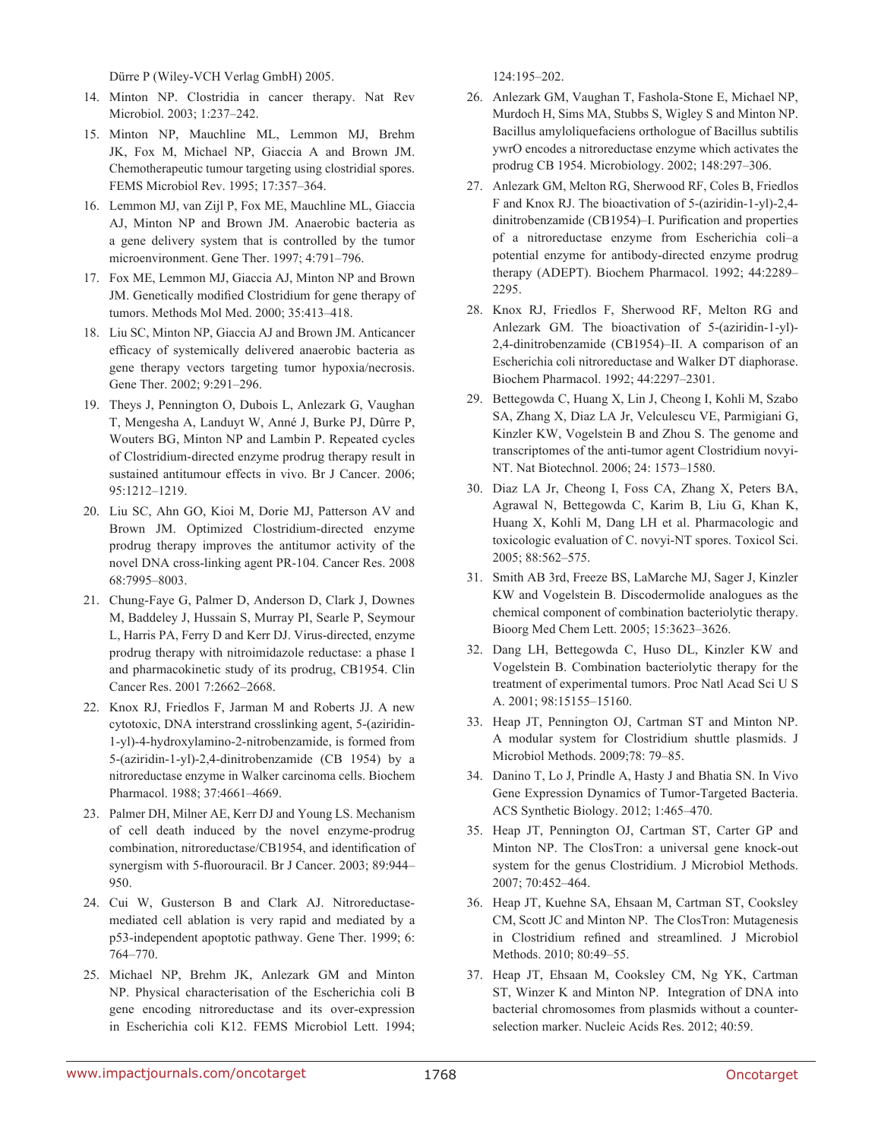Dürre P (Wiley-VCH Verlag GmbH) 2005.

- 14. Minton NP. Clostridia in cancer therapy. Nat Rev Microbiol. 2003; 1:237–242.
- 15. Minton NP, Mauchline ML, Lemmon MJ, Brehm JK, Fox M, Michael NP, Giaccia A and Brown JM. Chemotherapeutic tumour targeting using clostridial spores. FEMS Microbiol Rev. 1995; 17:357–364.
- 16. Lemmon MJ, van Zijl P, Fox ME, Mauchline ML, Giaccia AJ, Minton NP and Brown JM. Anaerobic bacteria as a gene delivery system that is controlled by the tumor microenvironment. Gene Ther. 1997; 4:791–796.
- 17. Fox ME, Lemmon MJ, Giaccia AJ, Minton NP and Brown JM. Genetically modified Clostridium for gene therapy of tumors. Methods Mol Med. 2000; 35:413–418.
- 18. Liu SC, Minton NP, Giaccia AJ and Brown JM. Anticancer efficacy of systemically delivered anaerobic bacteria as gene therapy vectors targeting tumor hypoxia/necrosis. Gene Ther. 2002; 9:291–296.
- 19. Theys J, Pennington O, Dubois L, Anlezark G, Vaughan T, Mengesha A, Landuyt W, Anné J, Burke PJ, Dûrre P, Wouters BG, Minton NP and Lambin P. Repeated cycles of Clostridium-directed enzyme prodrug therapy result in sustained antitumour effects in vivo. Br J Cancer. 2006; 95:1212–1219.
- 20. Liu SC, Ahn GO, Kioi M, Dorie MJ, Patterson AV and Brown JM. Optimized Clostridium-directed enzyme prodrug therapy improves the antitumor activity of the novel DNA cross-linking agent PR-104. Cancer Res. 2008 68:7995–8003.
- 21. Chung-Faye G, Palmer D, Anderson D, Clark J, Downes M, Baddeley J, Hussain S, Murray PI, Searle P, Seymour L, Harris PA, Ferry D and Kerr DJ. Virus-directed, enzyme prodrug therapy with nitroimidazole reductase: a phase I and pharmacokinetic study of its prodrug, CB1954. Clin Cancer Res. 2001 7:2662–2668.
- 22. Knox RJ, Friedlos F, Jarman M and Roberts JJ. A new cytotoxic, DNA interstrand crosslinking agent, 5-(aziridin-1-yl)-4-hydroxylamino-2-nitrobenzamide, is formed from 5-(aziridin-1-yl)-2,4-dinitrobenzamide (CB 1954) by a nitroreductase enzyme in Walker carcinoma cells. Biochem Pharmacol. 1988; 37:4661–4669.
- 23. Palmer DH, Milner AE, Kerr DJ and Young LS. Mechanism of cell death induced by the novel enzyme-prodrug combination, nitroreductase/CB1954, and identification of synergism with 5-fluorouracil. Br J Cancer. 2003; 89:944– 950.
- 24. Cui W, Gusterson B and Clark AJ. Nitroreductasemediated cell ablation is very rapid and mediated by a p53-independent apoptotic pathway. Gene Ther. 1999; 6: 764–770.
- 25. Michael NP, Brehm JK, Anlezark GM and Minton NP. Physical characterisation of the Escherichia coli B gene encoding nitroreductase and its over-expression in Escherichia coli K12. FEMS Microbiol Lett. 1994;

124:195–202.

- 26. Anlezark GM, Vaughan T, Fashola-Stone E, Michael NP, Murdoch H, Sims MA, Stubbs S, Wigley S and Minton NP. Bacillus amyloliquefaciens orthologue of Bacillus subtilis ywrO encodes a nitroreductase enzyme which activates the prodrug CB 1954. Microbiology. 2002; 148:297–306.
- 27. Anlezark GM, Melton RG, Sherwood RF, Coles B, Friedlos F and Knox RJ. The bioactivation of 5-(aziridin-1-yl)-2,4 dinitrobenzamide (CB1954)–I. Purification and properties of a nitroreductase enzyme from Escherichia coli–a potential enzyme for antibody-directed enzyme prodrug therapy (ADEPT). Biochem Pharmacol. 1992; 44:2289– 2295.
- 28. Knox RJ, Friedlos F, Sherwood RF, Melton RG and Anlezark GM. The bioactivation of 5-(aziridin-1-yl)- 2,4-dinitrobenzamide (CB1954)–II. A comparison of an Escherichia coli nitroreductase and Walker DT diaphorase. Biochem Pharmacol. 1992; 44:2297–2301.
- 29. Bettegowda C, Huang X, Lin J, Cheong I, Kohli M, Szabo SA, Zhang X, Diaz LA Jr, Velculescu VE, Parmigiani G, Kinzler KW, Vogelstein B and Zhou S. The genome and transcriptomes of the anti-tumor agent Clostridium novyi-NT. Nat Biotechnol. 2006; 24: 1573–1580.
- 30. Diaz LA Jr, Cheong I, Foss CA, Zhang X, Peters BA, Agrawal N, Bettegowda C, Karim B, Liu G, Khan K, Huang X, Kohli M, Dang LH et al. Pharmacologic and toxicologic evaluation of C. novyi-NT spores. Toxicol Sci. 2005; 88:562–575.
- 31. Smith AB 3rd, Freeze BS, LaMarche MJ, Sager J, Kinzler KW and Vogelstein B. Discodermolide analogues as the chemical component of combination bacteriolytic therapy. Bioorg Med Chem Lett. 2005; 15:3623–3626.
- 32. Dang LH, Bettegowda C, Huso DL, Kinzler KW and Vogelstein B. Combination bacteriolytic therapy for the treatment of experimental tumors. Proc Natl Acad Sci U S A. 2001; 98:15155–15160.
- 33. Heap JT, Pennington OJ, Cartman ST and Minton NP. A modular system for Clostridium shuttle plasmids. J Microbiol Methods. 2009;78: 79–85.
- 34. Danino T, Lo J, Prindle A, Hasty J and Bhatia SN. In Vivo Gene Expression Dynamics of Tumor-Targeted Bacteria. ACS Synthetic Biology. 2012; 1:465–470.
- 35. Heap JT, Pennington OJ, Cartman ST, Carter GP and Minton NP. The ClosTron: a universal gene knock-out system for the genus Clostridium. J Microbiol Methods. 2007; 70:452–464.
- 36. Heap JT, Kuehne SA, Ehsaan M, Cartman ST, Cooksley CM, Scott JC and Minton NP. The ClosTron: Mutagenesis in Clostridium refined and streamlined. J Microbiol Methods. 2010; 80:49–55.
- 37. Heap JT, Ehsaan M, Cooksley CM, Ng YK, Cartman ST, Winzer K and Minton NP. Integration of DNA into bacterial chromosomes from plasmids without a counterselection marker. Nucleic Acids Res. 2012; 40:59.